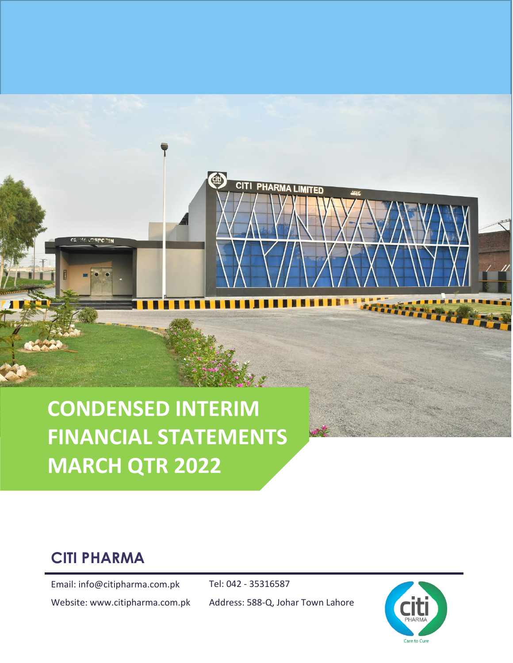# **CONDENSED INTERIM FINANCIAL STATEMENTS MARCH QTR 2022**

đ

CITI PHARMA LIMITED

## **CITI PHARMA**

**LIMITED** Email: info@citipharma.com.pk

Website: www.citipharma.com.pk

Tel: 042 - 35316587

Address: 588-Q, Johar Town Lahore

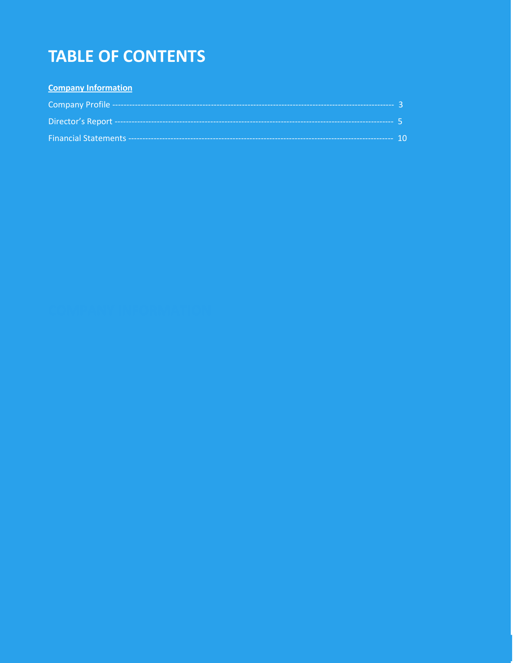## **TABLE OF CONTENTS**

| <b>Company Information</b> |  |
|----------------------------|--|
|                            |  |
|                            |  |
|                            |  |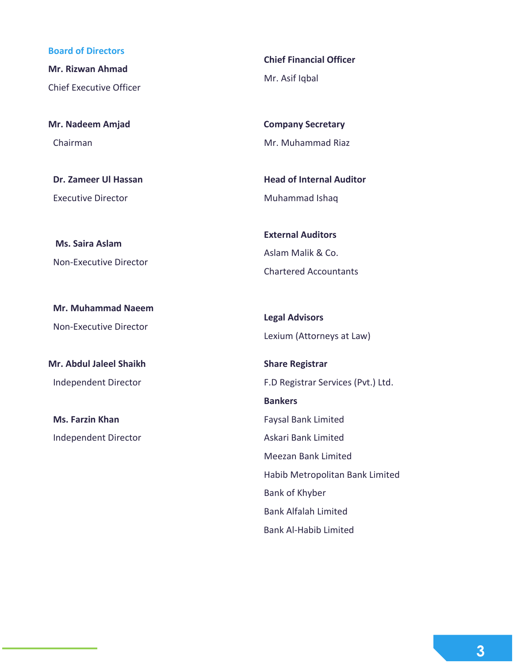**Board of Directors**

**Mr. Rizwan Ahmad** Chief Executive Officer

**Mr. Nadeem Amjad** Chairman

**Dr. Zameer Ul Hassan** Executive Director

**Ms. Saira Aslam** Non-Executive Director

**Mr. Muhammad Naeem** Non-Executive Director

**Mr. Abdul Jaleel Shaikh** Independent Director

**Ms. Farzin Khan** Independent Director **Chief Financial Officer** Mr. Asif Iqbal

 **Company Secretary** Mr. Muhammad Riaz

**Head of Internal Auditor** Muhammad Ishaq

**External Auditors** Aslam Malik & Co. Chartered Accountants

**Legal Advisors** Lexium (Attorneys at Law)

**Share Registrar** F.D Registrar Services (Pvt.) Ltd. **Bankers** Faysal Bank Limited Askari Bank Limited Meezan Bank Limited Habib Metropolitan Bank Limited Bank of Khyber Bank Alfalah Limited Bank Al-Habib Limited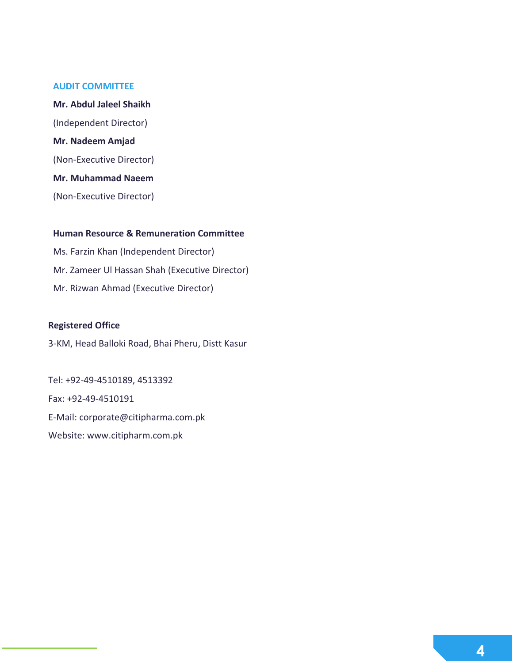#### **AUDIT COMMITTEE**

**Mr. Abdul Jaleel Shaikh** (Independent Director) **Mr. Nadeem Amjad** (Non-Executive Director) **Mr. Muhammad Naeem** (Non-Executive Director)

### **Human Resource & Remuneration Committee**

Ms. Farzin Khan (Independent Director) Mr. Zameer Ul Hassan Shah (Executive Director) Mr. Rizwan Ahmad (Executive Director)

### **Registered Office**

3-KM, Head Balloki Road, Bhai Pheru, Distt Kasur

Tel: +92-49-4510189, 4513392 Fax: +92-49-4510191 E-Mail: corporate@citipharma.com.pk Website: www.citipharm.com.pk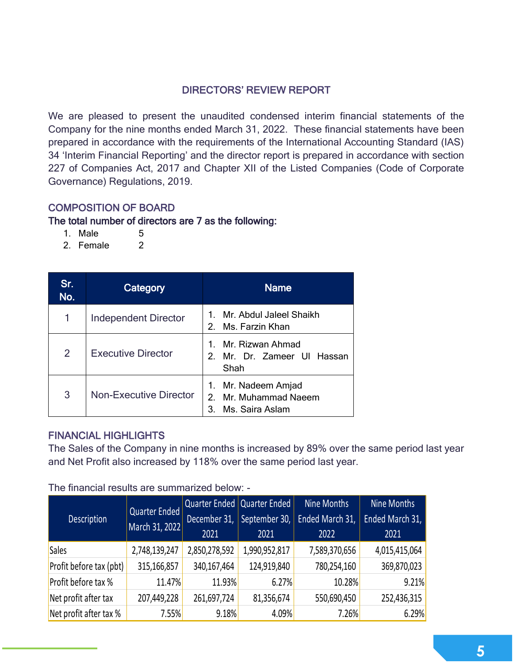## DIRECTORS' REVIEW REPORT

We are pleased to present the unaudited condensed interim financial statements of the Company for the nine months ended March 31, 2022. These financial statements have been prepared in accordance with the requirements of the International Accounting Standard (IAS) 34 'Interim Financial Reporting' and the director report is prepared in accordance with section 227 of Companies Act, 2017 and Chapter XII of the Listed Companies (Code of Corporate Governance) Regulations, 2019.

## COMPOSITION OF BOARD

## The total number of directors are 7 as the following:

- 1. Male 5
- 2. Female 2

| Sr.<br>No. | Category                      | <b>Name</b>                                                               |
|------------|-------------------------------|---------------------------------------------------------------------------|
|            | <b>Independent Director</b>   | Mr. Abdul Jaleel Shaikh<br>2. Ms. Farzin Khan                             |
| 2          | <b>Executive Director</b>     | Mr. Rizwan Ahmad<br>$\mathcal{P}$<br>Mr. Dr. Zameer UI Hassan<br>Shah     |
| 3          | <b>Non-Executive Director</b> | Mr. Nadeem Amjad<br>Mr. Muhammad Naeem<br>$2_{-}$<br>3<br>Ms. Saira Aslam |

## FINANCIAL HIGHLIGHTS

The Sales of the Company in nine months is increased by 89% over the same period last year and Net Profit also increased by 118% over the same period last year.

|                         | Quarter Ended  |               | Quarter Ended Quarter Ended | Nine Months     | Nine Months     |
|-------------------------|----------------|---------------|-----------------------------|-----------------|-----------------|
| <b>Description</b>      |                | December 31,  | September 30,               | Ended March 31, | Ended March 31, |
|                         | March 31, 2022 | 2021          | 2021                        | 2022            | 2021            |
| Sales                   | 2,748,139,247  | 2,850,278,592 | 1,990,952,817               | 7,589,370,656   | 4,015,415,064   |
| Profit before tax (pbt) | 315,166,857    | 340,167,464   | 124,919,840                 | 780,254,160     | 369,870,023     |
| Profit before tax %     | 11.47%         | 11.93%        | 6.27%                       | 10.28%          | 9.21%           |
| Net profit after tax    | 207,449,228    | 261,697,724   | 81,356,674                  | 550,690,450     | 252,436,315     |
| Net profit after tax %  | 7.55%          | 9.18%         | 4.09%                       | 7.26%           | 6.29%           |

The financial results are summarized below: -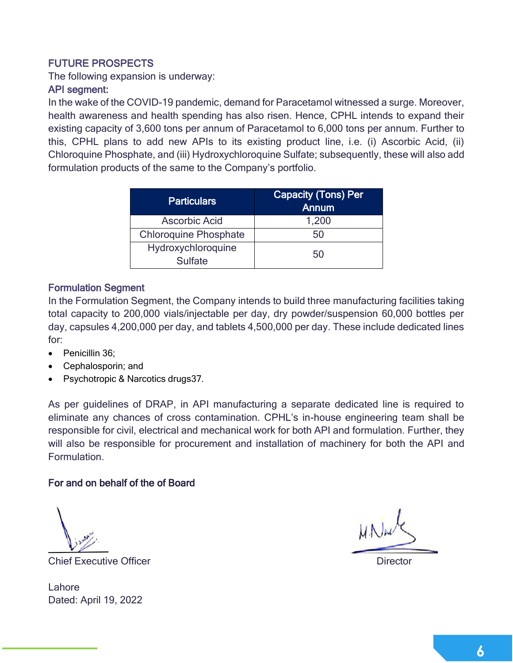## FUTURE PROSPECTS

The following expansion is underway:

## API segment:

In the wake of the COVID-19 pandemic, demand for Paracetamol witnessed a surge. Moreover, health awareness and health spending has also risen. Hence, CPHL intends to expand their existing capacity of 3,600 tons per annum of Paracetamol to 6,000 tons per annum. Further to this, CPHL plans to add new APIs to its existing product line, i.e. (i) Ascorbic Acid, (ii) Chloroquine Phosphate, and (iii) Hydroxychloroquine Sulfate; subsequently, these will also add formulation products of the same to the Company's portfolio.

| <b>Particulars</b>                   | <b>Capacity (Tons) Per</b><br><b>Annum</b> |
|--------------------------------------|--------------------------------------------|
| Ascorbic Acid                        | 1,200                                      |
| <b>Chloroquine Phosphate</b>         | 50                                         |
| Hydroxychloroquine<br><b>Sulfate</b> | 50                                         |

## Formulation Segment

In the Formulation Segment, the Company intends to build three manufacturing facilities taking total capacity to 200,000 vials/injectable per day, dry powder/suspension 60,000 bottles per day, capsules 4,200,000 per day, and tablets 4,500,000 per day. These include dedicated lines for:

- Penicillin 36;
- Cephalosporin; and
- Psychotropic & Narcotics drugs37.

As per guidelines of DRAP, in API manufacturing a separate dedicated line is required to eliminate any chances of cross contamination. CPHL's in-house engineering team shall be responsible for civil, electrical and mechanical work for both API and formulation. Further, they will also be responsible for procurement and installation of machinery for both the API and Formulation.

## For and on behalf of the of Board

**Chief Executive Officer Chief Executive Officer Chief Executive Officer Chief Executive Officer Chief Executive Officer Chief Executive Officer Chief Executive Officer Chief Executive Officer Chief Executive Officer Chief** 

Lahore Dated: April 19, 2022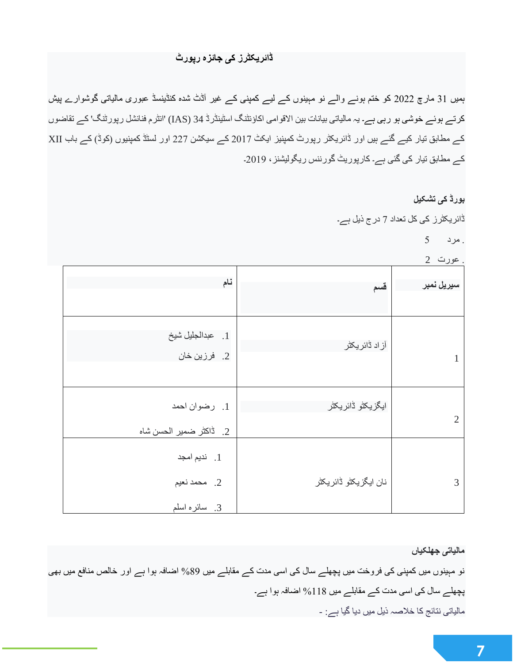## **ڈائریکٹرز کی جائزہ رپورٹ**

ہمیں 31 مارچ 2022 کو ختم ہونے والے نو مہینوں کے لیے کمپنی کے غیر آڈٹ شدہ کنڈینسڈ عبوری مالیاتی گوشوارے پیش کرتے ہوئے خوشی ہو رہی ہے۔ یہ مالیاتی بیانات بین االقوامی اکاؤنٹنگ اسٹینڈرڈ 34 (IAS' (انٹرم فنانشل رپورٹنگ' کے تقاضوں کے مطابق تیار کیے گئے ہیں اور ڈائریکٹر رپورٹ کمپنیز ایکٹ 2017 کے سیکشن 227 اور لسٹڈ کمپنیوں )کوڈ( کے باب XII کے مطابق تیار کی گئی ہے۔ کارپوریٹ گورننس ریگولیشنز، 2019۔

## **بورڈ کی تشکیل**

ڈائریکٹرز کی کل تعداد 7 درج ذیل ہے۔

. مرد 5

. عورت 2

| سيريل نمبر     | قسم                   | نام                                                |
|----------------|-----------------------|----------------------------------------------------|
|                | آز اد ڈائریکٹر        | 1. عبدالجليل شيخ<br>2. فرزين خان                   |
| $\overline{2}$ | ايگزيکڻو ڈائريکٹر     | 1. رضوان احمد<br>2. ۖ ذَٰاكِثْرِ ضميرِ الحسنِ شَاه |
| 3              | نان ایگزیکٹو ڈائریکٹر | 1. نديم امجد<br>. محمد نعيم<br>3. سائره اسلم       |

**مالیاتی جھلکیاں** 

نو مہینوں میں کمپنی کی فروخت میں پچھلے سال کی اسی مدت کے مقابلے میں %89 اضافہ ہوا ہے اور خالص منافع میں بھی پچھلے سال کی اسی مدت کے مقابلے میں %118 اضافہ ہوا ہے۔ مالیاتی نتائج کا خالصہ ذیل میں دیا گیا ہے: -

**7**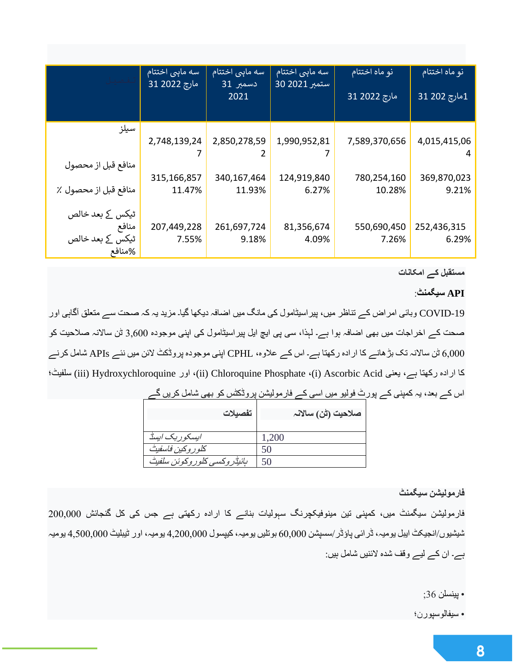|                           | سه ماہی اختتام<br>مارچ 2022 31 | سه ماہی اختتام<br>دسمبر 31 | سه ماہی اختتام<br>ستمبر 2021 30 | نو ماه اختتام | نو ماه اختتام |
|---------------------------|--------------------------------|----------------------------|---------------------------------|---------------|---------------|
|                           |                                | 2021                       |                                 | مارچ 2022 31  | 1مارچ 202 31  |
|                           |                                |                            |                                 |               |               |
| سيلز                      |                                |                            |                                 |               |               |
|                           | 2,748,139,24                   | 2,850,278,59               | 1,990,952,81                    | 7,589,370,656 | 4,015,415,06  |
|                           |                                |                            |                                 |               | 4             |
| منافع قبل از محصول        |                                |                            |                                 |               |               |
|                           | 315,166,857                    | 340,167,464                | 124,919,840                     | 780,254,160   | 369,870,023   |
| منافع قبل از محصول ٪      | 11.47%                         | 11.93%                     | 6.27%                           | 10.28%        | 9.21%         |
| ٹیکس کے ب <b>ع</b> د خالص |                                |                            |                                 |               |               |
| منافع                     | 207,449,228                    | 261,697,724                | 81,356,674                      | 550,690,450   | 252,436,315   |
| ٹیکس کے بعد خالص          | 7.55%                          | 9.18%                      | 4.09%                           | 7.26%         | 6.29%         |
| %منافع                    |                                |                            |                                 |               |               |

**مستقبل کے امکانات** 

**API سیگمنٹ**:

-19COVID وبائی امراض کے تناظر میں، پیراسیٹامول کی مانگ میں اضافہ دیکھا گیا۔ مزید یہ کہ صحت سے متعلق آگاہی اور صحت کے اخراجات میں بھی اضافہ ہوا ہے۔ لہذا، سی پی ایچ ایل پیراسیٹامول کی اپنی موجودہ 3,600 ٹن ساالنہ صالحیت کو 6,000 ٹن ساالنہ تک بڑھانے کا ارادہ رکھتا ہے۔ اس کے عالوہ، CPHL اپنی موجودہ پروڈکٹ الئن میں نئے APIs شامل کرنے سلفیٹ؛) iii) Hydroxychloroquine اور ،)ii) Chloroquine Phosphate ،(i) Ascorbic Acid یعنی ،ہے رکھتا ارادہ کا

| تفصيلات                      | صلاحيت (ٹن) سالانہ |
|------------------------------|--------------------|
| ابسکوربک ابسڈ                | 1,200              |
| كلور وكين فاسفيت             | 50                 |
| ہائیڈر وکسی کلور وکوئن سلفیٹ | 50                 |

اس کے بعد، یہ کمپنی کے پورٹ فولیو میں اسی کے فارمولیشن پروڈکٹس کو بھی شامل کریں گے

#### **فارمولیشن سیگمنٹ**

فارمولیشن سیگمنٹ میں، کمپنی تین مینوفیکچرنگ سہولیات بنانے کا ارادہ رکھتی ہے جس کی کل گنجائش 200,000 شیشیوں/انجیکٹ ایبل یومیہ، ڈرائی پاؤڈر/سسپشن 60,000 بوتلیں یومیہ، کیپسول 4,200,000 یومیہ، اور ٹیبلیٹ 4,500,000 یومیہ ہے۔ ان کے لیے وقف شدہ الئنیں شامل ہیں:

• پینسلن 36;

• سیفالوسپورن؛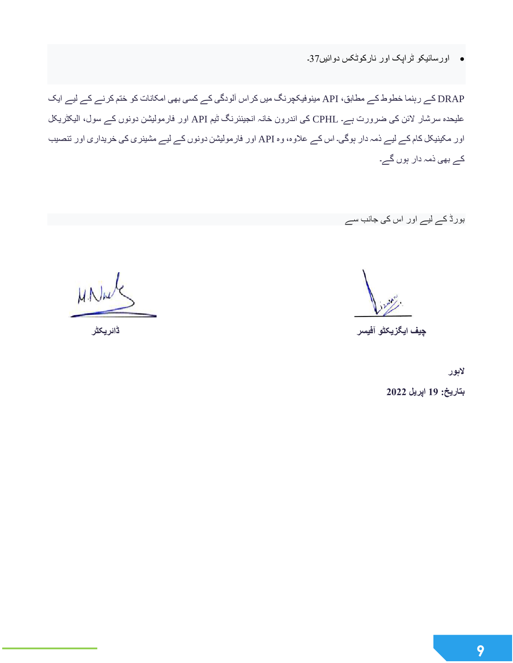• اورسائیکو ٹراپک اور نارکوٹکس دوائیں37۔

DRAP کے رہنما خطوط کے مطابق، API مینوفیکچرنگ میں کراس آلودگی کے کسی بھی امکانات کو ختم کرنے کے لیے ایک علیحدہ سرشار الئن کی ضرورت ہے۔ CPHL کی اندرون خانہ انجینئرنگ ٹیم API اور فارمولیشن دونوں کے سول، الیکٹریکل اور مکینیکل کام کے لیے ذمہ دار ہوگی۔ اس کے عالوہ، وہ API اور فارمولیشن دونوں کے لیے مشینری کی خریداری اور تنصیب کے بھی ذمہ دار ہوں گے۔

بورڈ کے لیے اور اس کی جانب سے

**چیف ایگزیکٹو آفیسر ڈائریکٹر** 

M.Nw

**الہور**

**بتاریخ: 19 اپریل 2022**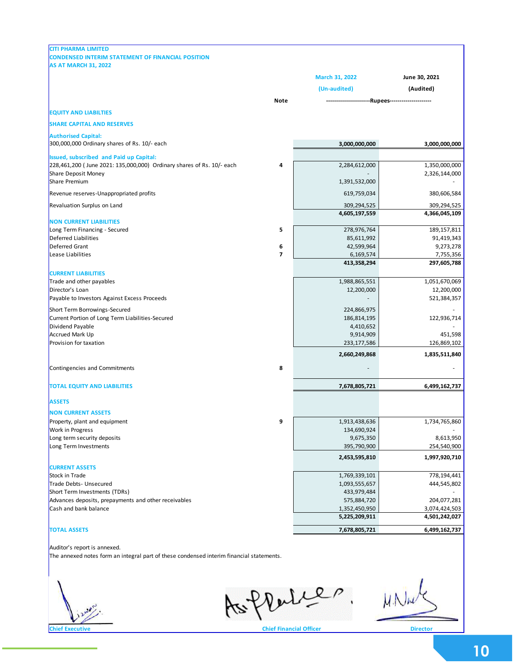#### **CITI PHARMA LIMITED**

#### **CONDENSED INTERIM STATEMENT OF FINANCIAL POSITION AS AT MARCH 31, 2022**

|                                                                            |                | March 31, 2022                                 | June 30, 2021 |
|----------------------------------------------------------------------------|----------------|------------------------------------------------|---------------|
|                                                                            |                | (Un-audited)                                   | (Audited)     |
|                                                                            | <b>Note</b>    | --------------------Rupees-------------------- |               |
| <b>EQUITY AND LIABILTIES</b>                                               |                |                                                |               |
| <b>SHARE CAPITAL AND RESERVES</b>                                          |                |                                                |               |
|                                                                            |                |                                                |               |
| <b>Authorised Capital:</b><br>300,000,000 Ordinary shares of Rs. 10/- each |                | 3,000,000,000                                  | 3,000,000,000 |
| Issued, subscribed and Paid up Capital:                                    |                |                                                |               |
| 228,461,200 (June 2021: 135,000,000) Ordinary shares of Rs. 10/- each      | 4              | 2,284,612,000                                  | 1,350,000,000 |
| Share Deposit Money                                                        |                |                                                | 2,326,144,000 |
| Share Premium                                                              |                | 1,391,532,000                                  |               |
| Revenue reserves-Unappropriated profits                                    |                | 619,759,034                                    | 380,606,584   |
| Revaluation Surplus on Land                                                |                | 309,294,525                                    | 309,294,525   |
|                                                                            |                | 4,605,197,559                                  | 4,366,045,109 |
| <b>NON CURRENT LIABILITIES</b>                                             |                |                                                |               |
| Long Term Financing - Secured                                              | 5              | 278,976,764                                    | 189,157,811   |
| Deferred Liabilities                                                       |                | 85,611,992                                     | 91,419,343    |
| <b>Deferred Grant</b>                                                      | 6              | 42,599,964                                     | 9,273,278     |
| Lease Liabilities                                                          | $\overline{7}$ | 6,169,574                                      | 7,755,356     |
|                                                                            |                | 413,358,294                                    | 297,605,788   |
| <b>CURRENT LIABILITIES</b>                                                 |                |                                                |               |
| Trade and other payables                                                   |                | 1,988,865,551                                  | 1,051,670,069 |
| Director's Loan                                                            |                | 12,200,000                                     | 12,200,000    |
| Payable to Investors Against Excess Proceeds                               |                |                                                | 521,384,357   |
| Short Term Borrowings-Secured                                              |                | 224,866,975                                    |               |
| Current Portion of Long Term Liabilities-Secured                           |                | 186,814,195                                    | 122,936,714   |
| Dividend Payable                                                           |                | 4,410,652                                      |               |
| <b>Accrued Mark Up</b>                                                     |                | 9,914,909                                      | 451,598       |
| Provision for taxation                                                     |                | 233,177,586                                    | 126,869,102   |
|                                                                            |                | 2,660,249,868                                  | 1,835,511,840 |
| Contingencies and Commitments                                              | 8              |                                                |               |
|                                                                            |                |                                                |               |
| <b>TOTAL EQUITY AND LIABILITIES</b>                                        |                | 7,678,805,721                                  | 6,499,162,737 |
| <b>ASSETS</b>                                                              |                |                                                |               |
| <b>NON CURRENT ASSETS</b>                                                  |                |                                                |               |
| Property, plant and equipment                                              | 9              | 1,913,438,636                                  | 1,734,765,860 |
| <b>Work in Progress</b>                                                    |                | 134,690,924                                    |               |
| Long term security deposits                                                |                | 9,675,350                                      | 8,613,950     |
| Long Term Investments                                                      |                | 395,790,900                                    | 254,540,900   |
|                                                                            |                | 2,453,595,810                                  | 1,997,920,710 |
| <b>CURRENT ASSETS</b>                                                      |                |                                                |               |
| Stock in Trade                                                             |                | 1,769,339,101                                  | 778,194,441   |
| Trade Debts- Unsecured                                                     |                | 1,093,555,657                                  | 444,545,802   |
| Short Term Investments (TDRs)                                              |                | 433,979,484                                    |               |
| Advances deposits, prepayments and other receivables                       |                | 575,884,720                                    | 204,077,281   |
| Cash and bank balance                                                      |                | 1,352,450,950                                  | 3,074,424,503 |
|                                                                            |                | 5,225,209,911                                  | 4,501,242,027 |
| <b>TOTAL ASSETS</b>                                                        |                | 7,678,805,721                                  | 6,499,162,737 |
|                                                                            |                |                                                |               |

Auditor's report is annexed.

ه د

il Asifle

**Chief Executive Chief Financial Officer Director**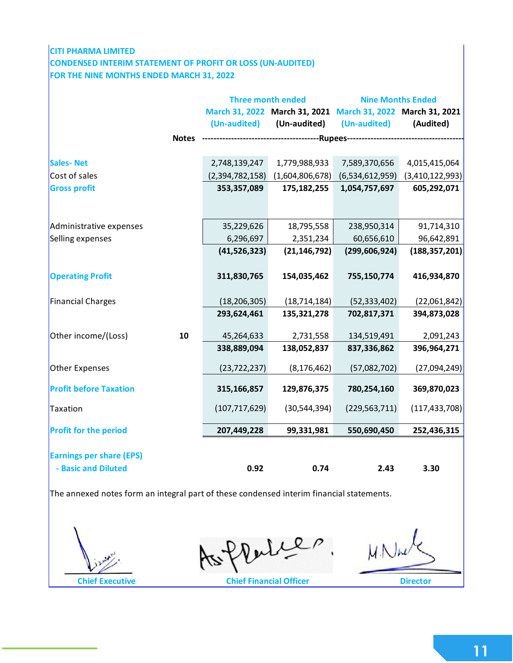## **CITI PHARMA LIMITED CONDENSED INTERIM STATEMENT OF PROFIT OR LOSS (UN-AUDITED) FOR THE NINE MONTHS ENDED MARCH 31, 2022**

|                                 |              | <b>Three month ended</b> |                 | <b>Nine Months Ended</b>                                     |                 |  |
|---------------------------------|--------------|--------------------------|-----------------|--------------------------------------------------------------|-----------------|--|
|                                 |              |                          |                 | March 31, 2022 March 31, 2021 March 31, 2022 March 31, 2021  |                 |  |
|                                 |              | (Un-audited)             | (Un-audited)    | (Un-audited)                                                 | (Audited)       |  |
|                                 | <b>Notes</b> |                          |                 | -----------------------------------Rupees------------------- |                 |  |
| <b>Sales-Net</b>                |              | 2,748,139,247            | 1,779,988,933   | 7,589,370,656                                                | 4,015,415,064   |  |
| Cost of sales                   |              | (2,394,782,158)          | (1,604,806,678) | (6,534,612,959)                                              | (3,410,122,993) |  |
| <b>Gross profit</b>             |              | 353,357,089              | 175, 182, 255   | 1,054,757,697                                                | 605,292,071     |  |
|                                 |              |                          |                 |                                                              |                 |  |
| Administrative expenses         |              | 35,229,626               | 18,795,558      | 238,950,314                                                  | 91,714,310      |  |
| Selling expenses                |              | 6,296,697                | 2,351,234       | 60,656,610                                                   | 96,642,891      |  |
|                                 |              | (41, 526, 323)           | (21, 146, 792)  | (299, 606, 924)                                              | (188, 357, 201) |  |
| <b>Operating Profit</b>         |              | 311,830,765              | 154,035,462     | 755,150,774                                                  | 416,934,870     |  |
| <b>Financial Charges</b>        |              | (18, 206, 305)           | (18, 714, 184)  | (52, 333, 402)                                               | (22,061,842)    |  |
|                                 |              | 293,624,461              | 135, 321, 278   | 702,817,371                                                  | 394,873,028     |  |
| Other income/(Loss)             | 10           | 45,264,633               | 2,731,558       | 134,519,491                                                  | 2,091,243       |  |
|                                 |              | 338,889,094              | 138,052,837     | 837,336,862                                                  | 396,964,271     |  |
| Other Expenses                  |              | (23, 722, 237)           | (8, 176, 462)   | (57,082,702)                                                 | (27,094,249)    |  |
| <b>Profit before Taxation</b>   |              | 315,166,857              | 129,876,375     | 780,254,160                                                  | 369,870,023     |  |
| Taxation                        |              | (107, 717, 629)          | (30,544,394)    | (229, 563, 711)                                              | (117, 433, 708) |  |
| <b>Profit for the period</b>    |              | 207,449,228              | 99,331,981      | 550,690,450                                                  | 252,436,315     |  |
|                                 |              |                          |                 |                                                              |                 |  |
| <b>Earnings per share (EPS)</b> |              |                          |                 |                                                              |                 |  |
| - Basic and Diluted             |              | 0.92                     | 0.74            | 2.43                                                         | 3.30            |  |

Assifler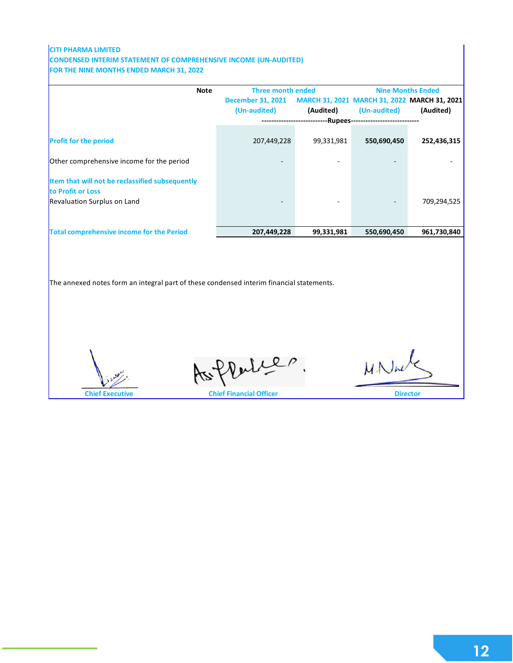#### **CITI PHARMA LIMITED**

#### **CONDENSED INTERIM STATEMENT OF COMPREHENSIVE INCOME (UN-AUDITED) FOR THE NINE MONTHS ENDED MARCH 31, 2022**

| <b>Note</b>                                                          | Three month ended                        |            | <b>Nine Months Ended</b>                                     |             |  |
|----------------------------------------------------------------------|------------------------------------------|------------|--------------------------------------------------------------|-------------|--|
|                                                                      | <b>December 31, 2021</b><br>(Un-audited) | (Audited)  | MARCH 31, 2021 MARCH 31, 2022 MARCH 31, 2021<br>(Un-audited) | (Audited)   |  |
|                                                                      | --------------------------               |            | --Rupees--------------------------                           |             |  |
| <b>Profit for the period</b>                                         | 207,449,228                              | 99,331,981 | 550,690,450                                                  | 252,436,315 |  |
| Other comprehensive income for the period                            |                                          |            |                                                              |             |  |
| Item that will not be reclassified subsequently<br>to Profit or Loss |                                          |            |                                                              |             |  |
| Revaluation Surplus on Land                                          |                                          |            |                                                              | 709,294,525 |  |
|                                                                      |                                          |            |                                                              |             |  |
| <b>Total comprehensive income for the Period</b>                     | 207,449,228                              | 99,331,981 | 550,690,450                                                  | 961,730,840 |  |

The annexed notes form an integral part of these condensed interim financial statements.

As flates

M. Nu

**Chief Executive**

**Chief Financial Officer Director**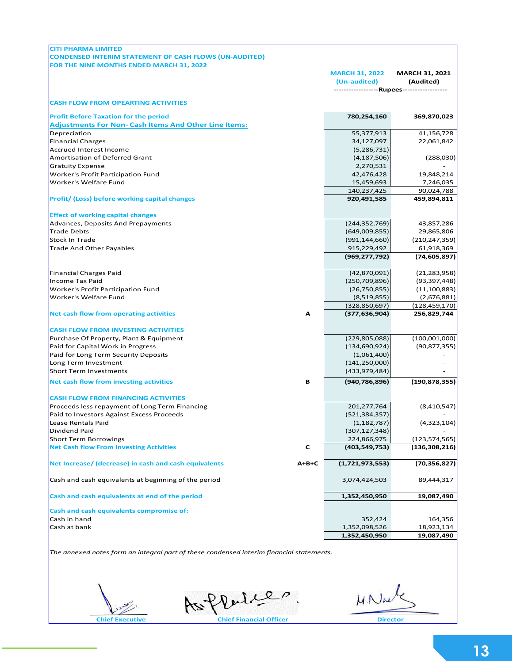| <b>CITI PHARMA LIMITED</b>                                    |         |                                                                                |                                    |
|---------------------------------------------------------------|---------|--------------------------------------------------------------------------------|------------------------------------|
| <b>CONDENSED INTERIM STATEMENT OF CASH FLOWS (UN-AUDITED)</b> |         |                                                                                |                                    |
| FOR THE NINE MONTHS ENDED MARCH 31, 2022                      |         | <b>MARCH 31, 2022</b><br>(Un-audited)<br>-----------------Rupees-------------- | <b>MARCH 31, 2021</b><br>(Audited) |
|                                                               |         |                                                                                |                                    |
| <b>CASH FLOW FROM OPEARTING ACTIVITIES</b>                    |         |                                                                                |                                    |
| <b>Profit Before Taxation for the period</b>                  |         | 780,254,160                                                                    | 369,870,023                        |
| <b>Adjustments For Non- Cash Items And Other Line Items:</b>  |         |                                                                                |                                    |
| Depreciation                                                  |         | 55,377,913                                                                     | 41,156,728                         |
| <b>Financial Charges</b>                                      |         | 34,127,097                                                                     | 22,061,842                         |
| Accrued Interest Income                                       |         | (5,286,731)                                                                    |                                    |
| Amortisation of Deferred Grant                                |         | (4, 187, 506)                                                                  | (288,030)                          |
| <b>Gratuity Expense</b>                                       |         | 2,270,531                                                                      |                                    |
| Worker's Profit Participation Fund                            |         | 42,476,428                                                                     | 19,848,214                         |
| Worker's Welfare Fund                                         |         | 15,459,693                                                                     | 7,246,035                          |
|                                                               |         | 140,237,425                                                                    | 90,024,788                         |
| <b>Profit/ (Loss) before working capital changes</b>          |         | 920,491,585                                                                    | 459,894,811                        |
| <b>Effect of working capital changes</b>                      |         |                                                                                |                                    |
| <b>Advances, Deposits And Prepayments</b>                     |         | (244, 352, 769)                                                                | 43,857,286                         |
| <b>Trade Debts</b>                                            |         | (649,009,855)                                                                  | 29,865,806                         |
| Stock In Trade                                                |         | (991, 144, 660)                                                                | (210, 247, 359)                    |
| <b>Trade And Other Payables</b>                               |         | 915,229,492                                                                    | 61,918,369                         |
|                                                               |         | (969, 277, 792)                                                                | (74, 605, 897)                     |
|                                                               |         |                                                                                |                                    |
| <b>Financial Charges Paid</b>                                 |         | (42,870,091)                                                                   | (21, 283, 958)                     |
| <b>Income Tax Paid</b>                                        |         | (250, 709, 896)                                                                | (93, 397, 448)                     |
| Worker's Profit Participation Fund                            |         | (26,750,855)                                                                   | (11, 100, 883)                     |
| Worker's Welfare Fund                                         |         | (8,519,855)                                                                    | (2,676,881)                        |
|                                                               |         | (328, 850, 697)                                                                | (128, 459, 170)                    |
| <b>Net cash flow from operating activities</b>                | А       | (377, 636, 904)                                                                | 256,829,744                        |
| <b>CASH FLOW FROM INVESTING ACTIVITIES</b>                    |         |                                                                                |                                    |
| Purchase Of Property, Plant & Equipment                       |         | (229, 805, 088)                                                                | (100,001,000)                      |
| Paid for Capital Work in Progress                             |         | (134, 690, 924)                                                                | (90, 877, 355)                     |
| Paid for Long Term Security Deposits                          |         | (1,061,400)                                                                    |                                    |
| Long Term Investment                                          |         | (141, 250, 000)                                                                |                                    |
| <b>Short Term Investments</b>                                 |         | (433, 979, 484)                                                                |                                    |
| <b>Net cash flow from investing activities</b>                | в       | (940, 786, 896)                                                                | (190, 878, 355)                    |
|                                                               |         |                                                                                |                                    |
| <b>CASH FLOW FROM FINANCING ACTIVITIES</b>                    |         |                                                                                |                                    |
| Proceeds less repayment of Long Term Financing                |         | 201,277,764                                                                    | (8,410,547)                        |
| Paid to Investors Against Excess Proceeds                     |         | (521, 384, 357)                                                                |                                    |
| Lease Rentals Paid                                            |         | (1, 182, 787)                                                                  | (4,323,104)                        |
| Dividend Paid                                                 |         | (307, 127, 348)                                                                |                                    |
| <b>Short Term Borrowings</b>                                  |         | 224,866,975                                                                    | (123, 574, 565)                    |
| <b>Net Cash flow From Investing Activities</b>                | c       | (403,549,753)                                                                  | (136, 308, 216)                    |
| Net Increase/ (decrease) in cash and cash equivalents         | $A+B+C$ | (1,721,973,553)                                                                | (70, 356, 827)                     |
| Cash and cash equivalents at beginning of the period          |         | 3,074,424,503                                                                  | 89,444,317                         |
| Cash and cash equivalents at end of the period                |         | 1,352,450,950                                                                  | 19,087,490                         |
| Cash and cash equivalents compromise of:                      |         |                                                                                |                                    |
| Cash in hand                                                  |         | 352,424                                                                        | 164,356                            |
| Cash at bank                                                  |         | 1,352,098,526                                                                  | 18,923,134                         |
|                                                               |         | 1,352,450,950                                                                  | 19,087,490                         |

 $\mathcal{Q}$ Chief Executive **Chief Financial Officer W. Nutter** 

 $M.NK$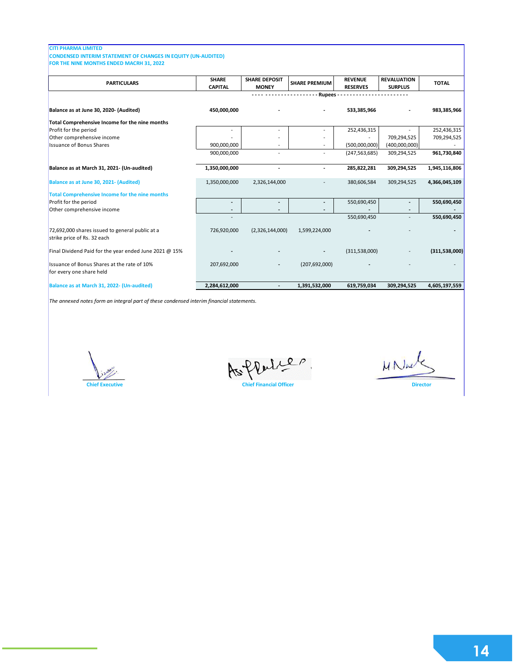#### **CITI PHARMA LIMITED**

**CONDENSED INTERIM STATEMENT OF CHANGES IN EQUITY (UN-AUDITED) FOR THE NINE MONTHS ENDED MACRH 31, 2022**

| <b>PARTICULARS</b>                                                             | <b>SHARE</b>             | <b>SHARE DEPOSIT</b>     | <b>SHARE PREMIUM</b> | <b>REVENUE</b>  | <b>REVALUATION</b> | <b>TOTAL</b>    |
|--------------------------------------------------------------------------------|--------------------------|--------------------------|----------------------|-----------------|--------------------|-----------------|
|                                                                                | <b>CAPITAL</b>           | <b>MONEY</b>             |                      | <b>RESERVES</b> | <b>SURPLUS</b>     |                 |
|                                                                                |                          |                          | Rupees -             |                 |                    |                 |
| Balance as at June 30, 2020- (Audited)                                         | 450,000,000              |                          |                      | 533,385,966     |                    | 983,385,966     |
| Total Comprehensive Income for the nine months                                 |                          |                          |                      |                 |                    |                 |
| Profit for the period                                                          |                          | $\overline{\phantom{a}}$ |                      | 252,436,315     |                    | 252,436,315     |
| Other comprehensive income                                                     |                          |                          |                      |                 | 709,294,525        | 709,294,525     |
| <b>Issuance of Bonus Shares</b>                                                | 900,000,000              |                          |                      | (500,000,000)   | (400,000,000)      |                 |
|                                                                                | 900,000,000              | $\overline{\phantom{a}}$ |                      | (247, 563, 685) | 309,294,525        | 961,730,840     |
| Balance as at March 31, 2021- (Un-audited)                                     | 1,350,000,000            |                          |                      | 285,822,281     | 309,294,525        | 1,945,116,806   |
| Balance as at June 30, 2021- (Audited)                                         | 1,350,000,000            | 2,326,144,000            |                      | 380,606,584     | 309,294,525        | 4,366,045,109   |
| Total Comprehensive Income for the nine months                                 |                          |                          |                      |                 |                    |                 |
| Profit for the period                                                          | $\overline{\phantom{a}}$ |                          |                      | 550,690,450     |                    | 550,690,450     |
| Other comprehensive income                                                     |                          |                          |                      |                 |                    |                 |
|                                                                                |                          |                          |                      | 550,690,450     |                    | 550,690,450     |
| 72,692,000 shares issued to general public at a<br>strike price of Rs. 32 each | 726,920,000              | (2,326,144,000)          | 1,599,224,000        |                 |                    |                 |
| Final Dividend Paid for the year ended June 2021 @ 15%                         |                          |                          |                      | (311,538,000)   |                    | (311, 538, 000) |
| Issuance of Bonus Shares at the rate of 10%<br>for every one share held        | 207,692,000              |                          | (207, 692, 000)      |                 |                    |                 |
| Balance as at March 31, 2022- (Un-audited)                                     | 2,284,612,000            |                          | 1,391,532,000        | 619,759,034     | 309,294,525        | 4,605,197,559   |

Chief Executive **Chief Financial Officer** 

M. Nule

**Director**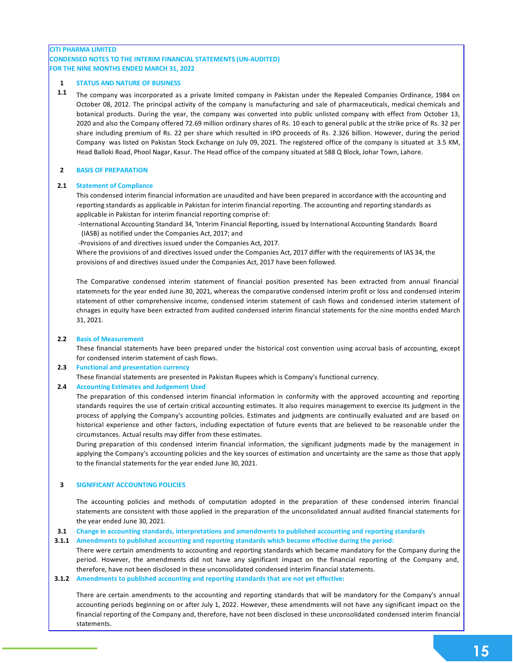#### **CITI PHARMA LIMITED CONDENSED NOTES TO THE INTERIM FINANCIAL STATEMENTS (UN-AUDITED) FOR THE NINE MONTHS ENDED MARCH 31, 2022**

#### **1 STATUS AND NATURE OF BUSINESS**

**1.1** The company was incorporated as a private limited company in Pakistan under the Repealed Companies Ordinance, 1984 on<br>October 08, 2012. The principal activity of the company is manufacturing and sale of pharmaceuticals, me SED NOTES TO THE INTERNIC FINANCIAL STATEWIEWIS (ON-AODITED)<br>STATUS AND NATURE OF BUSINESS<br>The company was incorporated as a private limited company in Pakistan under the Repealed Companies Ordinance, 1984 on<br>October 08, 2 **EXATUS AND NATURE OF BUSINESS**<br>
The company was incorporated as a private limited company in Pakistan under the Repealed Companies Ordinance, 1984 on<br>
October 08, 2012. The principal activity of the company is manufacturi The company was incorporated as a private limited company in Pakistan under the Repealed Companies Ordinance, 1984 on October 08, 2012. The principal activity of the company is manufacturing and sale of pharmaceuticals, me Company of the principal activity of the company is manufacturing and sale of pharmaceuticals, medical chemicals and<br>botanical products. During the year, the company was converted into public unlisted company with effect f Head Balloki Road, Phool Nagar, Kasur. The Head office of the company situated at 588 Q Block, Johar Town, Lahore.

#### **2 BASIS OF PREPARATION**

#### **2.1 Statement of Compliance**

This condensed interim financial information are unaudited and have been prepared in accordance with the accounting and reporting standards as applicable in Pakistan for interim financial reporting. The accounting and reporting standards as applicable in Pakistan for interim financial reporting comprise of:

 -International Accounting Standard 34, 'Interim Financial Reporting, issued by International Accounting Standards Board (IASB) as notified under the Companies Act, 2017; and

-Provisions of and directives issued under the Companies Act, 2017.

Where the provisions of and directives issued under the Companies Act, 2017 differ with the requirements of IAS 34, the provisions of and directives issued under the Companies Act, 2017 have been followed.

-Provisions of and directives issued under the Companies Act, 2017.<br>Where the provisions of and directives issued under the Companies Act, 2017 differ with the requirements of IAS 34, the<br>provisions of and directives issue statemnets for the year ended June 30, 2021, whereas the comparative condensed interim profit or loss and condensed interim<br>statement of other comprehensive income, condensed interim statement of cash flows and condensed i provisions of and directives issued under the Companies Act, 2017 have been followed.<br>The Comparative condensed interim statement of financial position presented has been extracted from annual financial<br>statements for the chnages in equity have been extracted from audited condensed interim financial statements for the nine months ended March 31, 2021.

#### **2.2 Basis of Measurement**

These financial statements have been prepared under the historical cost convention using accrual basis of accounting, except for condensed interim statement of cash flows.

#### **2.3 Functional and presentation currency**

These financial statements are presented in Pakistan Rupees which is Company's functional currency.

#### **2.4 Accounting Estimates and Judgement Used**

For condensed interim statement of cash flows.<br> **Functional and presentation currency**<br>
These financial statements are presented in Pakistan Rupees which is Company's functional currency.<br> **Accounting Estimates and Judgeme Functional and presentation currency**<br>These financial statements are presented in Pakistan Rupees which is Company's functional currency.<br>**Accounting Estimates and Judgement Used**<br>The preparation of this condensed interim These financial statements are presented in Pakistan Rupees which is Company's functional currency.<br> **Accounting Estimates and Judgement Used**<br>
The preparation of this condensed interim financial information in conformity Accounting Estimates and Judgement Used<br>The preparation of this condensed interim financial information in conformity with the approved accounting and reporting<br>standards requires the use of certain critical accounting est circumstances. Actual results may differ from these estimates. standards requires the use of certain critical accounting estimates. It also requires management to exercise its judgment in the process of applying the Company's accounting policies. Estimates and judgments are continuall historical experience and other factors, including expectation of future events that are believed to be reasonable under the

to the financial statements for the year ended June 30, 2021.

#### **3 SIGNIFICANT ACCOUNTING POLICIES**

The accounting policies and methods of computation adopted in the preparation of these condensed interim financial<br>
SIGNIFICANT ACCOUNTING POLICIES<br>
STENTIFICANT ACCOUNTING POLICIES<br>
STENTIFICANT ACCOUNTING POLICIES<br>
STENT SIGNIFICANT ACCOUNTING POLICIES<br>The accounting policies and methods of computation adopted in the preparation of these condensed interim financial<br>statements are consistent with those applied in the preparation of the unco the year ended June 30, 2021.

**3.1 Change in accounting standards, interpretations and amendments to published accounting and reporting standards**

**3.1.1 Amendments to published accounting and reporting standards which became effective during the period:** There were certain amendments to accounting and reporting standards which became mandatory for the Company during the the year ended June 30, 2021.<br> **Change in accounting standards, interpretations and amendments to published accounting and reporting standards**<br> **Amendments to published accounting and reporting standards which became effe** therefore, have not been disclosed in these unconsolidated condensed interim financial statements.

#### **3.1.2 Amendments to published accounting and reporting standards that are not yet effective:**

period. However, the amendments did not have any significant impact on the financial reporting of the Company and,<br>therefore, have not been disclosed in these unconsolidated condensed interim financial statements.<br>**Amendme** period. However, the amendments did not have any significant impact on the inflancial reporting of the company and,<br>therefore, have not been disclosed in these unconsolidated condensed interim financial statements.<br>**Amendm** financial reporting of the Company and, therefore, have not been disclosed in these unconsolidates that are not yet effective:<br>There are certain amendments to the accounting and reporting standards that will be mandatory f statements.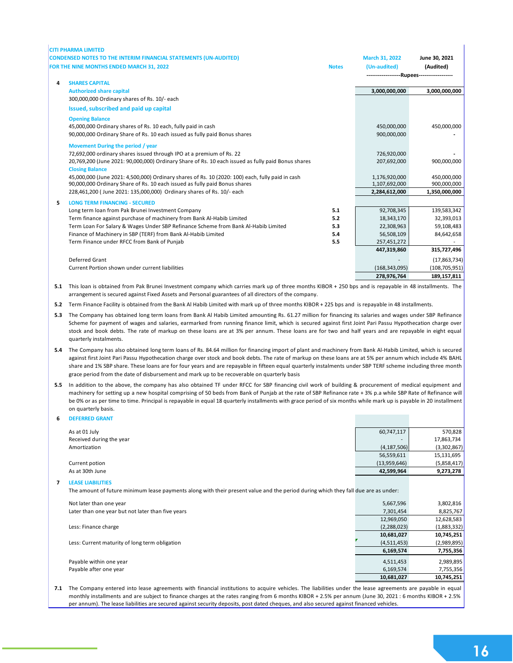|                                                                         | <b>CITI PHARMA LIMITED</b>                                                                                                                                                                                                                                                                                            |                |                                           |                          |
|-------------------------------------------------------------------------|-----------------------------------------------------------------------------------------------------------------------------------------------------------------------------------------------------------------------------------------------------------------------------------------------------------------------|----------------|-------------------------------------------|--------------------------|
| <b>CONDENSED NOTES TO THE INTERIM FINANCIAL STATEMENTS (UN-AUDITED)</b> |                                                                                                                                                                                                                                                                                                                       | March 31, 2022 | June 30, 2021                             |                          |
|                                                                         | FOR THE NINE MONTHS ENDED MARCH 31, 2022                                                                                                                                                                                                                                                                              | <b>Notes</b>   | (Un-audited)                              | (Audited)                |
|                                                                         |                                                                                                                                                                                                                                                                                                                       |                | ------------------Rupees----------------- |                          |
| 4                                                                       | <b>SHARES CAPITAL</b><br><b>Authorized share capital</b>                                                                                                                                                                                                                                                              |                | 3,000,000,000                             | 3,000,000,000            |
|                                                                         | 300,000,000 Ordinary shares of Rs. 10/- each                                                                                                                                                                                                                                                                          |                |                                           |                          |
|                                                                         | Issued, subscribed and paid up capital                                                                                                                                                                                                                                                                                |                |                                           |                          |
|                                                                         | <b>Opening Balance</b>                                                                                                                                                                                                                                                                                                |                |                                           |                          |
|                                                                         | 45,000,000 Ordinary shares of Rs. 10 each, fully paid in cash                                                                                                                                                                                                                                                         |                | 450,000,000                               | 450,000,000              |
|                                                                         | 90,000,000 Ordinary Share of Rs. 10 each issued as fully paid Bonus shares                                                                                                                                                                                                                                            |                | 900,000,000                               |                          |
|                                                                         | Movement During the period / year                                                                                                                                                                                                                                                                                     |                |                                           |                          |
|                                                                         | 72,692,000 ordinary shares issued through IPO at a premium of Rs. 22                                                                                                                                                                                                                                                  |                | 726,920,000                               |                          |
|                                                                         | 20,769,200 (June 2021: 90,000,000) Ordinary Share of Rs. 10 each issued as fully paid Bonus shares                                                                                                                                                                                                                    |                | 207,692,000                               | 900,000,000              |
|                                                                         | <b>Closing Balance</b>                                                                                                                                                                                                                                                                                                |                |                                           |                          |
|                                                                         | 45,000,000 (June 2021: 4,500,000) Ordinary shares of Rs. 10 (2020: 100) each, fully paid in cash                                                                                                                                                                                                                      |                | 1,176,920,000                             | 450,000,000              |
|                                                                         | 90,000,000 Ordinary Share of Rs. 10 each issued as fully paid Bonus shares                                                                                                                                                                                                                                            |                | 1,107,692,000                             | 900,000,000              |
|                                                                         | 228,461,200 (June 2021: 135,000,000) Ordinary shares of Rs. 10/- each                                                                                                                                                                                                                                                 |                | 2,284,612,000                             | 1,350,000,000            |
| 5                                                                       | <b>LONG TERM FINANCING - SECURED</b>                                                                                                                                                                                                                                                                                  |                |                                           |                          |
|                                                                         | Long term loan from Pak Brunei Investment Company                                                                                                                                                                                                                                                                     | 5.1            | 92,708,345                                | 139,583,342              |
|                                                                         | Term finance against purchase of machinery from Bank Al-Habib Limited                                                                                                                                                                                                                                                 | 5.2<br>5.3     | 18,343,170<br>22,308,963                  | 32,393,013<br>59,108,483 |
|                                                                         | Term Loan For Salary & Wages Under SBP Refinance Scheme from Bank Al-Habib Limited<br>Finance of Machinery in SBP (TERF) from Bank Al-Habib Limited                                                                                                                                                                   | 5.4            | 56,508,109                                | 84,642,658               |
|                                                                         | Term Finance under RFCC from Bank of Punjab                                                                                                                                                                                                                                                                           | 5.5            | 257,451,272                               |                          |
|                                                                         |                                                                                                                                                                                                                                                                                                                       |                | 447,319,860                               | 315,727,496              |
|                                                                         | Deferred Grant                                                                                                                                                                                                                                                                                                        |                |                                           | (17,863,734)             |
|                                                                         | Current Portion shown under current liabilities                                                                                                                                                                                                                                                                       |                | (168, 343, 095)                           | (108, 705, 951)          |
|                                                                         |                                                                                                                                                                                                                                                                                                                       |                | 278,976,764                               | 189,157,811              |
|                                                                         | 5.1 This loan is obtained from Pak Brunei Investment company which carries mark up of three months KIBOR + 250 bps and is repayable in 48 installments. The<br>arrangement is secured against Fixed Assets and Personal guarantees of all directors of the company.                                                   |                |                                           |                          |
|                                                                         | 5.2 Term Finance Facility is obtained from the Bank Al Habib Limited with mark up of three months KIBOR + 225 bps and is repayable in 48 installments.                                                                                                                                                                |                |                                           |                          |
|                                                                         |                                                                                                                                                                                                                                                                                                                       |                |                                           |                          |
| 5.3                                                                     | The Company has obtained long term loans from Bank Al Habib Limited amounting Rs. 61.27 million for financing its salaries and wages under SBP Refinance<br>Scheme for payment of wages and salaries, earmarked from running finance limit, which is secured against first Joint Pari Passu Hypothecation charge over |                |                                           |                          |
|                                                                         | stock and book debts. The rate of markup on these loans are at 3% per annum. These loans are for two and half years and are repayable in eight equal                                                                                                                                                                  |                |                                           |                          |
|                                                                         | quarterly instalments.                                                                                                                                                                                                                                                                                                |                |                                           |                          |
| 5.4                                                                     | The Company has also obtained long term loans of Rs. 84.64 million for financing import of plant and machinery from Bank Al-Habib Limited, which is secured                                                                                                                                                           |                |                                           |                          |
|                                                                         | against first Joint Pari Passu Hypothecation charge over stock and book debts. The rate of markup on these loans are at 5% per annum which include 4% BAHL                                                                                                                                                            |                |                                           |                          |
|                                                                         | share and 1% SBP share. These loans are for four years and are repayable in fifteen equal quarterly instalments under SBP TERF scheme including three month                                                                                                                                                           |                |                                           |                          |
|                                                                         | grace period from the date of disbursement and mark up to be recoverable on quarterly basis                                                                                                                                                                                                                           |                |                                           |                          |
| 5.5                                                                     | In addition to the above, the company has also obtained TF under RFCC for SBP financing civil work of building & procurement of medical equipment and                                                                                                                                                                 |                |                                           |                          |
|                                                                         | machinery for setting up a new hospital comprising of 50 beds from Bank of Punjab at the rate of SBP Refinance rate +3% p.a while SBP Rate of Refinance will                                                                                                                                                          |                |                                           |                          |
|                                                                         | be 0% or as per time to time. Principal is repayable in equal 18 quarterly installments with grace period of six months while mark up is payable in 20 installment                                                                                                                                                    |                |                                           |                          |
|                                                                         | on quarterly basis.                                                                                                                                                                                                                                                                                                   |                |                                           |                          |
|                                                                         | <b>DEFERRED GRANT</b>                                                                                                                                                                                                                                                                                                 |                |                                           |                          |
|                                                                         |                                                                                                                                                                                                                                                                                                                       |                | 60,747,117                                | 570,828                  |
|                                                                         | As at 01 July<br>Received during the year                                                                                                                                                                                                                                                                             |                |                                           | 17,863,734               |
|                                                                         | Amortization                                                                                                                                                                                                                                                                                                          |                | (4, 187, 506)                             | (3,302,867)              |
|                                                                         |                                                                                                                                                                                                                                                                                                                       |                | 56,559,611                                | 15,131,695               |
|                                                                         | Current potion                                                                                                                                                                                                                                                                                                        |                | (13,959,646)                              | (5,858,417)              |
|                                                                         | As at 30th June                                                                                                                                                                                                                                                                                                       |                | 42,599,964                                | 9,273,278                |
| 7                                                                       | <b>LEASE LIABILITIES</b>                                                                                                                                                                                                                                                                                              |                |                                           |                          |
|                                                                         | The amount of future minimum lease payments along with their present value and the period during which they fall due are as under:                                                                                                                                                                                    |                |                                           |                          |
|                                                                         |                                                                                                                                                                                                                                                                                                                       |                |                                           | 200204                   |

| Not later than one year                           | 5,667,596     | 3,802,816   |
|---------------------------------------------------|---------------|-------------|
| Later than one year but not later than five years | 7,301,454     | 8,825,767   |
|                                                   | 12,969,050    | 12,628,583  |
| Less: Finance charge                              | (2, 288, 023) | (1,883,332) |
|                                                   | 10,681,027    | 10,745,251  |
| Less: Current maturity of long term obligation    | (4,511,453)   | (2,989,895) |
|                                                   | 6,169,574     | 7,755,356   |
| Payable within one year                           | 4,511,453     | 2,989,895   |
| Payable after one year                            | 6,169,574     | 7,755,356   |
|                                                   | 10,681,027    | 10,745,251  |

**7.1** The Company entered into lease agreements with financial institutions to acquire vehicles. The liabilities under the lease agreements are payable in equal monthly installments and are subject to finance charges at the rates ranging from 6 months KIBOR + 2.5% per annum (June 30, 2021 : 6 months KIBOR + 2.5% per annum). The lease liabilities are secured against security deposits, post dated cheques, and also secured against financed vehicles.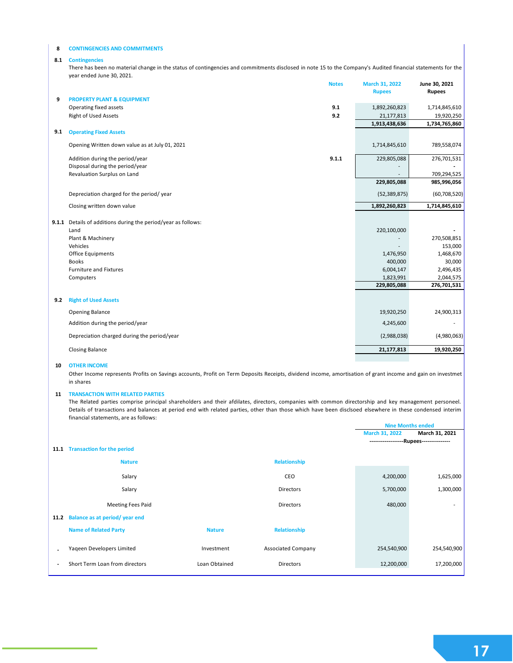#### **8 CONTINGENCIES AND COMMITMENTS**

#### **8.1 Contingencies**

There has been no material change in the status of contingencies and commitments disclosed in note 15 to the Company's Audited financial statements for the year ended June 30, 2021.

|     |                                                               | <b>Notes</b> | March 31, 2022 | June 30, 2021 |
|-----|---------------------------------------------------------------|--------------|----------------|---------------|
|     |                                                               |              | <b>Rupees</b>  | <b>Rupees</b> |
| 9   | <b>PROPERTY PLANT &amp; EQUIPMENT</b>                         |              |                |               |
|     | Operating fixed assets                                        | 9.1          | 1,892,260,823  | 1,714,845,610 |
|     | <b>Right of Used Assets</b>                                   | 9.2          | 21,177,813     | 19,920,250    |
|     |                                                               |              | 1,913,438,636  | 1,734,765,860 |
| 9.1 | <b>Operating Fixed Assets</b>                                 |              |                |               |
|     | Opening Written down value as at July 01, 2021                |              | 1,714,845,610  | 789,558,074   |
|     | Addition during the period/year                               | 9.1.1        | 229,805,088    | 276,701,531   |
|     | Disposal during the period/year                               |              |                |               |
|     | Revaluation Surplus on Land                                   |              |                | 709,294,525   |
|     |                                                               |              | 229,805,088    | 985,996,056   |
|     | Depreciation charged for the period/year                      |              | (52, 389, 875) | (60,708,520)  |
|     | Closing written down value                                    |              | 1,892,260,823  | 1,714,845,610 |
|     |                                                               |              |                |               |
|     | 9.1.1 Details of additions during the period/year as follows: |              |                |               |
|     | Land                                                          |              | 220,100,000    |               |
|     | Plant & Machinery                                             |              |                | 270,508,851   |
|     | Vehicles                                                      |              |                | 153,000       |
|     | <b>Office Equipments</b>                                      |              | 1,476,950      | 1,468,670     |
|     | <b>Books</b>                                                  |              | 400,000        | 30,000        |
|     | <b>Furniture and Fixtures</b>                                 |              | 6,004,147      | 2,496,435     |
|     | Computers                                                     |              | 1,823,991      | 2,044,575     |
|     |                                                               |              | 229,805,088    | 276,701,531   |
| 9.2 | <b>Right of Used Assets</b>                                   |              |                |               |
|     | <b>Opening Balance</b>                                        |              | 19,920,250     | 24,900,313    |
|     | Addition during the period/year                               |              | 4,245,600      |               |
|     | Depreciation charged during the period/year                   |              | (2,988,038)    | (4,980,063)   |
|     | <b>Closing Balance</b>                                        |              | 21,177,813     | 19,920,250    |
|     |                                                               |              |                |               |

#### **10 OTHER INCOME**

Other Income represents Profits on Savings accounts, Profit on Term Deposits Receipts, dividend income, amortisation of grant income and gain on investmet in shares

#### **11 TRANSACTION WITH RELATED PARTIES**

The Related parties comprise principal shareholders and their afdilates, directors, companies with common directorship and key management personeel. Details of transactions and balances at period end with related parties, other than those which have been disclsoed elsewhere in these condensed interim financial statements, are as follows:

|                                 |               |                           | <b>Nine Months ended</b> |                                         |  |
|---------------------------------|---------------|---------------------------|--------------------------|-----------------------------------------|--|
|                                 |               |                           | March 31, 2022           | March 31, 2021                          |  |
|                                 |               |                           |                          | ------------------Rupees--------------- |  |
| 11.1 Transaction for the period |               |                           |                          |                                         |  |
| <b>Nature</b>                   |               | <b>Relationship</b>       |                          |                                         |  |
| Salary                          |               | <b>CEO</b>                | 4,200,000                | 1,625,000                               |  |
| Salary                          |               | <b>Directors</b>          | 5,700,000                | 1,300,000                               |  |
| <b>Meeting Fees Paid</b>        |               | <b>Directors</b>          | 480,000                  |                                         |  |
| Balance as at period/year end   |               |                           |                          |                                         |  |
| <b>Name of Related Party</b>    | <b>Nature</b> | <b>Relationship</b>       |                          |                                         |  |
| Yageen Developers Limited       | Investment    | <b>Associated Company</b> | 254,540,900              | 254,540,900                             |  |
| Short Term Loan from directors  | Loan Obtained | <b>Directors</b>          | 12,200,000               | 17,200,000                              |  |
|                                 |               |                           |                          |                                         |  |